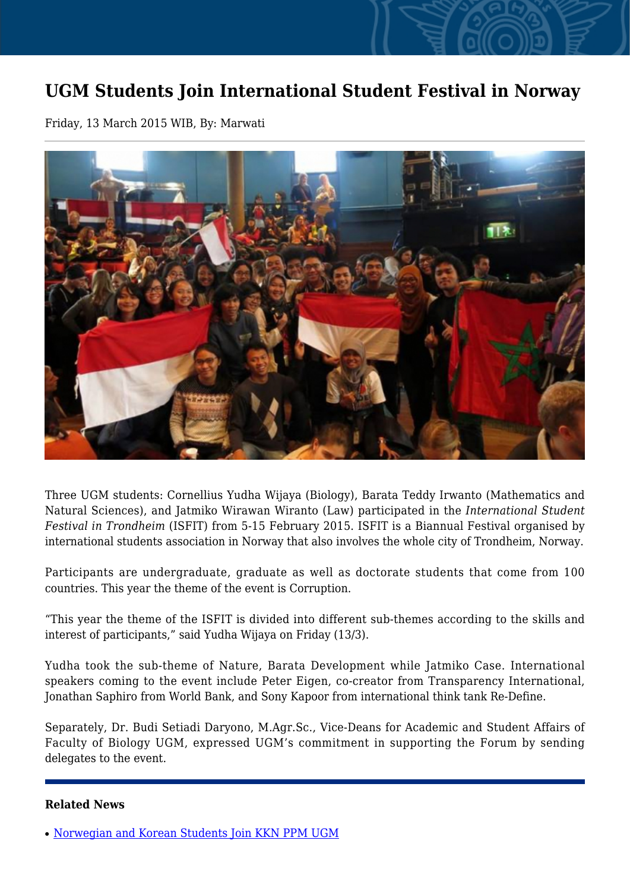## **UGM Students Join International Student Festival in Norway**

Friday, 13 March 2015 WIB, By: Marwati



Three UGM students: Cornellius Yudha Wijaya (Biology), Barata Teddy Irwanto (Mathematics and Natural Sciences), and Jatmiko Wirawan Wiranto (Law) participated in the *International Student Festival in Trondheim* (ISFIT) from 5-15 February 2015. ISFIT is a Biannual Festival organised by international students association in Norway that also involves the whole city of Trondheim, Norway.

Participants are undergraduate, graduate as well as doctorate students that come from 100 countries. This year the theme of the event is Corruption.

"This year the theme of the ISFIT is divided into different sub-themes according to the skills and interest of participants," said Yudha Wijaya on Friday (13/3).

Yudha took the sub-theme of Nature, Barata Development while Jatmiko Case. International speakers coming to the event include Peter Eigen, co-creator from Transparency International, Jonathan Saphiro from World Bank, and Sony Kapoor from international think tank Re-Define.

Separately, Dr. Budi Setiadi Daryono, M.Agr.Sc., Vice-Deans for Academic and Student Affairs of Faculty of Biology UGM, expressed UGM's commitment in supporting the Forum by sending delegates to the event.

## **Related News**

<sup>•</sup> [Norwegian and Korean Students Join KKN PPM UGM](http://ugm.ac.id/www.ugm.ac.id//en/news/14207-ugm-students-join-international-negotiation-competition-in-norway)